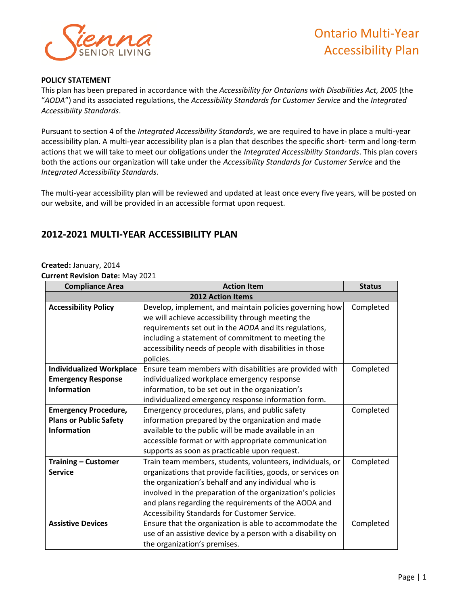

## **POLICY STATEMENT**

This plan has been prepared in accordance with the *Accessibility for Ontarians with Disabilities Act, 2005* (the "*AODA*") and its associated regulations, the *Accessibility Standards for Customer Service* and the *Integrated Accessibility Standards*.

Pursuant to section 4 of the *Integrated Accessibility Standards*, we are required to have in place a multi-year accessibility plan. A multi-year accessibility plan is a plan that describes the specific short- term and long-term actions that we will take to meet our obligations under the *Integrated Accessibility Standards*. This plan covers both the actions our organization will take under the *Accessibility Standards for Customer Service* and the *Integrated Accessibility Standards*.

The multi-year accessibility plan will be reviewed and updated at least once every five years, will be posted on our website, and will be provided in an accessible format upon request.

## **2012-2021 MULTI-YEAR ACCESSIBILITY PLAN**

## **Created:** January, 2014

**Current Revision Date:** May 2021

| <b>Compliance Area</b>          | <b>Action Item</b>                                           | <b>Status</b> |
|---------------------------------|--------------------------------------------------------------|---------------|
| <b>2012 Action Items</b>        |                                                              |               |
| <b>Accessibility Policy</b>     | Develop, implement, and maintain policies governing how      | Completed     |
|                                 | we will achieve accessibility through meeting the            |               |
|                                 | requirements set out in the AODA and its regulations,        |               |
|                                 | including a statement of commitment to meeting the           |               |
|                                 | accessibility needs of people with disabilities in those     |               |
|                                 | policies.                                                    |               |
| <b>Individualized Workplace</b> | Ensure team members with disabilities are provided with      | Completed     |
| <b>Emergency Response</b>       | individualized workplace emergency response                  |               |
| <b>Information</b>              | information, to be set out in the organization's             |               |
|                                 | individualized emergency response information form.          |               |
| <b>Emergency Procedure,</b>     | Emergency procedures, plans, and public safety               | Completed     |
| <b>Plans or Public Safety</b>   | information prepared by the organization and made            |               |
| <b>Information</b>              | available to the public will be made available in an         |               |
|                                 | accessible format or with appropriate communication          |               |
|                                 | supports as soon as practicable upon request.                |               |
| <b>Training - Customer</b>      | Train team members, students, volunteers, individuals, or    | Completed     |
| <b>Service</b>                  | organizations that provide facilities, goods, or services on |               |
|                                 | the organization's behalf and any individual who is          |               |
|                                 | involved in the preparation of the organization's policies   |               |
|                                 | and plans regarding the requirements of the AODA and         |               |
|                                 | Accessibility Standards for Customer Service.                |               |
| <b>Assistive Devices</b>        | Ensure that the organization is able to accommodate the      | Completed     |
|                                 | use of an assistive device by a person with a disability on  |               |
|                                 | the organization's premises.                                 |               |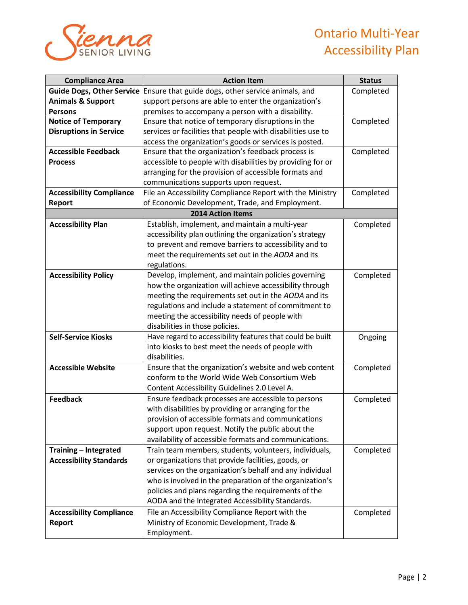## Ontario Multi-Year Accessibility Plan



| <b>Compliance Area</b>           | <b>Action Item</b>                                          | <b>Status</b> |
|----------------------------------|-------------------------------------------------------------|---------------|
| <b>Guide Dogs, Other Service</b> | Ensure that guide dogs, other service animals, and          | Completed     |
| <b>Animals &amp; Support</b>     | support persons are able to enter the organization's        |               |
| <b>Persons</b>                   | premises to accompany a person with a disability.           |               |
| <b>Notice of Temporary</b>       | Ensure that notice of temporary disruptions in the          | Completed     |
| <b>Disruptions in Service</b>    | services or facilities that people with disabilities use to |               |
|                                  | access the organization's goods or services is posted.      |               |
| <b>Accessible Feedback</b>       | Ensure that the organization's feedback process is          | Completed     |
| <b>Process</b>                   | accessible to people with disabilities by providing for or  |               |
|                                  | arranging for the provision of accessible formats and       |               |
|                                  | communications supports upon request.                       |               |
| <b>Accessibility Compliance</b>  | File an Accessibility Compliance Report with the Ministry   | Completed     |
| <b>Report</b>                    | of Economic Development, Trade, and Employment.             |               |
|                                  | <b>2014 Action Items</b>                                    |               |
| <b>Accessibility Plan</b>        | Establish, implement, and maintain a multi-year             | Completed     |
|                                  | accessibility plan outlining the organization's strategy    |               |
|                                  | to prevent and remove barriers to accessibility and to      |               |
|                                  | meet the requirements set out in the AODA and its           |               |
|                                  | regulations.                                                |               |
| <b>Accessibility Policy</b>      | Develop, implement, and maintain policies governing         | Completed     |
|                                  | how the organization will achieve accessibility through     |               |
|                                  | meeting the requirements set out in the AODA and its        |               |
|                                  | regulations and include a statement of commitment to        |               |
|                                  | meeting the accessibility needs of people with              |               |
|                                  | disabilities in those policies.                             |               |
| <b>Self-Service Kiosks</b>       | Have regard to accessibility features that could be built   | Ongoing       |
|                                  | into kiosks to best meet the needs of people with           |               |
|                                  | disabilities.                                               |               |
| <b>Accessible Website</b>        | Ensure that the organization's website and web content      | Completed     |
|                                  | conform to the World Wide Web Consortium Web                |               |
|                                  | Content Accessibility Guidelines 2.0 Level A.               |               |
| <b>Feedback</b>                  | Ensure feedback processes are accessible to persons         | Completed     |
|                                  | with disabilities by providing or arranging for the         |               |
|                                  | provision of accessible formats and communications          |               |
|                                  | support upon request. Notify the public about the           |               |
|                                  | availability of accessible formats and communications.      |               |
| Training - Integrated            | Train team members, students, volunteers, individuals,      | Completed     |
| <b>Accessibility Standards</b>   | or organizations that provide facilities, goods, or         |               |
|                                  | services on the organization's behalf and any individual    |               |
|                                  | who is involved in the preparation of the organization's    |               |
|                                  | policies and plans regarding the requirements of the        |               |
|                                  | AODA and the Integrated Accessibility Standards.            |               |
| <b>Accessibility Compliance</b>  | File an Accessibility Compliance Report with the            | Completed     |
| Report                           | Ministry of Economic Development, Trade &                   |               |
|                                  | Employment.                                                 |               |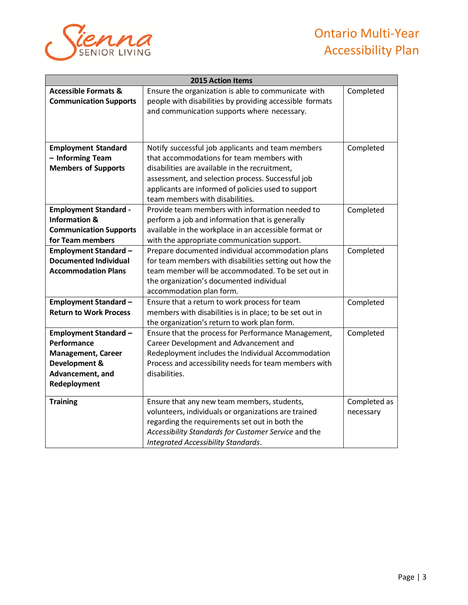

| <b>2015 Action Items</b>                                                                                                      |                                                                                                                                                                                                                                                                                                 |                           |
|-------------------------------------------------------------------------------------------------------------------------------|-------------------------------------------------------------------------------------------------------------------------------------------------------------------------------------------------------------------------------------------------------------------------------------------------|---------------------------|
| <b>Accessible Formats &amp;</b><br><b>Communication Supports</b>                                                              | Ensure the organization is able to communicate with<br>people with disabilities by providing accessible formats<br>and communication supports where necessary.                                                                                                                                  | Completed                 |
| <b>Employment Standard</b><br>- Informing Team<br><b>Members of Supports</b>                                                  | Notify successful job applicants and team members<br>that accommodations for team members with<br>disabilities are available in the recruitment,<br>assessment, and selection process. Successful job<br>applicants are informed of policies used to support<br>team members with disabilities. | Completed                 |
| <b>Employment Standard -</b><br><b>Information &amp;</b><br><b>Communication Supports</b><br>for Team members                 | Provide team members with information needed to<br>perform a job and information that is generally<br>available in the workplace in an accessible format or<br>with the appropriate communication support.                                                                                      | Completed                 |
| <b>Employment Standard -</b><br><b>Documented Individual</b><br><b>Accommodation Plans</b>                                    | Prepare documented individual accommodation plans<br>for team members with disabilities setting out how the<br>team member will be accommodated. To be set out in<br>the organization's documented individual<br>accommodation plan form.                                                       | Completed                 |
| <b>Employment Standard -</b><br><b>Return to Work Process</b>                                                                 | Ensure that a return to work process for team<br>members with disabilities is in place; to be set out in<br>the organization's return to work plan form.                                                                                                                                        | Completed                 |
| <b>Employment Standard -</b><br>Performance<br><b>Management, Career</b><br>Development &<br>Advancement, and<br>Redeployment | Ensure that the process for Performance Management,<br>Career Development and Advancement and<br>Redeployment includes the Individual Accommodation<br>Process and accessibility needs for team members with<br>disabilities.                                                                   | Completed                 |
| <b>Training</b>                                                                                                               | Ensure that any new team members, students,<br>volunteers, individuals or organizations are trained<br>regarding the requirements set out in both the<br>Accessibility Standards for Customer Service and the<br>Integrated Accessibility Standards.                                            | Completed as<br>necessary |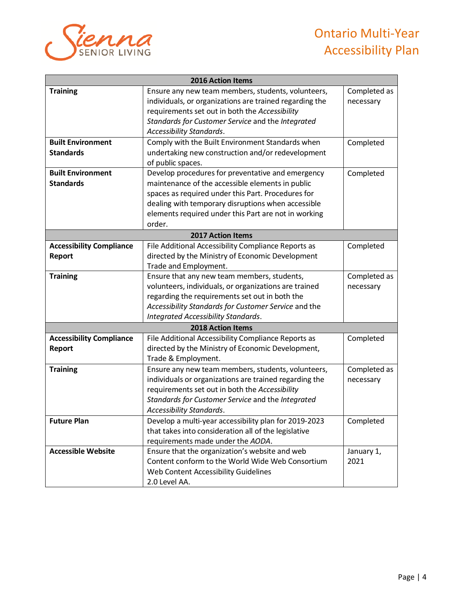



| 2016 Action Items               |                                                         |              |
|---------------------------------|---------------------------------------------------------|--------------|
| <b>Training</b>                 | Ensure any new team members, students, volunteers,      | Completed as |
|                                 | individuals, or organizations are trained regarding the | necessary    |
|                                 | requirements set out in both the Accessibility          |              |
|                                 | Standards for Customer Service and the Integrated       |              |
|                                 | Accessibility Standards.                                |              |
| <b>Built Environment</b>        | Comply with the Built Environment Standards when        | Completed    |
| <b>Standards</b>                | undertaking new construction and/or redevelopment       |              |
|                                 | of public spaces.                                       |              |
| <b>Built Environment</b>        | Develop procedures for preventative and emergency       | Completed    |
| <b>Standards</b>                | maintenance of the accessible elements in public        |              |
|                                 | spaces as required under this Part. Procedures for      |              |
|                                 | dealing with temporary disruptions when accessible      |              |
|                                 | elements required under this Part are not in working    |              |
|                                 | order.                                                  |              |
| <b>2017 Action Items</b>        |                                                         |              |
| <b>Accessibility Compliance</b> | File Additional Accessibility Compliance Reports as     | Completed    |
| Report                          | directed by the Ministry of Economic Development        |              |
|                                 | Trade and Employment.                                   |              |
| <b>Training</b>                 | Ensure that any new team members, students,             | Completed as |
|                                 | volunteers, individuals, or organizations are trained   | necessary    |
|                                 | regarding the requirements set out in both the          |              |
|                                 | Accessibility Standards for Customer Service and the    |              |
|                                 | Integrated Accessibility Standards.                     |              |
|                                 | 2018 Action Items                                       |              |
| <b>Accessibility Compliance</b> | File Additional Accessibility Compliance Reports as     | Completed    |
| Report                          | directed by the Ministry of Economic Development,       |              |
|                                 | Trade & Employment.                                     |              |
| <b>Training</b>                 | Ensure any new team members, students, volunteers,      | Completed as |
|                                 | individuals or organizations are trained regarding the  | necessary    |
|                                 | requirements set out in both the Accessibility          |              |
|                                 | Standards for Customer Service and the Integrated       |              |
|                                 | Accessibility Standards.                                |              |
| <b>Future Plan</b>              | Develop a multi-year accessibility plan for 2019-2023   | Completed    |
|                                 | that takes into consideration all of the legislative    |              |
|                                 | requirements made under the AODA.                       |              |
| <b>Accessible Website</b>       | Ensure that the organization's website and web          | January 1,   |
|                                 | Content conform to the World Wide Web Consortium        | 2021         |
|                                 | Web Content Accessibility Guidelines                    |              |
|                                 | 2.0 Level AA.                                           |              |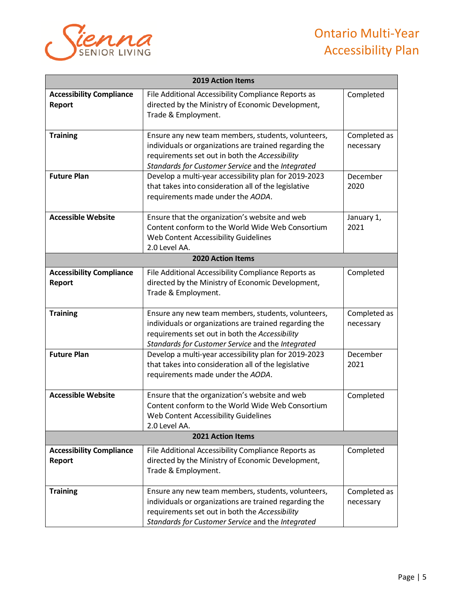

| <b>2019 Action Items</b>                         |                                                                                                                                                                                                                     |                           |
|--------------------------------------------------|---------------------------------------------------------------------------------------------------------------------------------------------------------------------------------------------------------------------|---------------------------|
| <b>Accessibility Compliance</b><br><b>Report</b> | File Additional Accessibility Compliance Reports as<br>directed by the Ministry of Economic Development,<br>Trade & Employment.                                                                                     | Completed                 |
| <b>Training</b>                                  | Ensure any new team members, students, volunteers,<br>individuals or organizations are trained regarding the<br>requirements set out in both the Accessibility<br>Standards for Customer Service and the Integrated | Completed as<br>necessary |
| <b>Future Plan</b>                               | Develop a multi-year accessibility plan for 2019-2023<br>that takes into consideration all of the legislative<br>requirements made under the AODA.                                                                  | December<br>2020          |
| <b>Accessible Website</b>                        | Ensure that the organization's website and web<br>Content conform to the World Wide Web Consortium<br>Web Content Accessibility Guidelines<br>2.0 Level AA.                                                         | January 1,<br>2021        |
|                                                  | <b>2020 Action Items</b>                                                                                                                                                                                            |                           |
| <b>Accessibility Compliance</b><br><b>Report</b> | File Additional Accessibility Compliance Reports as<br>directed by the Ministry of Economic Development,<br>Trade & Employment.                                                                                     | Completed                 |
| <b>Training</b>                                  | Ensure any new team members, students, volunteers,<br>individuals or organizations are trained regarding the<br>requirements set out in both the Accessibility<br>Standards for Customer Service and the Integrated | Completed as<br>necessary |
| <b>Future Plan</b>                               | Develop a multi-year accessibility plan for 2019-2023<br>that takes into consideration all of the legislative<br>requirements made under the AODA.                                                                  | December<br>2021          |
| <b>Accessible Website</b>                        | Ensure that the organization's website and web<br>Content conform to the World Wide Web Consortium<br>Web Content Accessibility Guidelines<br>2.0 Level AA.                                                         | Completed                 |
| 2021 Action Items                                |                                                                                                                                                                                                                     |                           |
| <b>Accessibility Compliance</b><br><b>Report</b> | File Additional Accessibility Compliance Reports as<br>directed by the Ministry of Economic Development,<br>Trade & Employment.                                                                                     | Completed                 |
| <b>Training</b>                                  | Ensure any new team members, students, volunteers,<br>individuals or organizations are trained regarding the<br>requirements set out in both the Accessibility<br>Standards for Customer Service and the Integrated | Completed as<br>necessary |